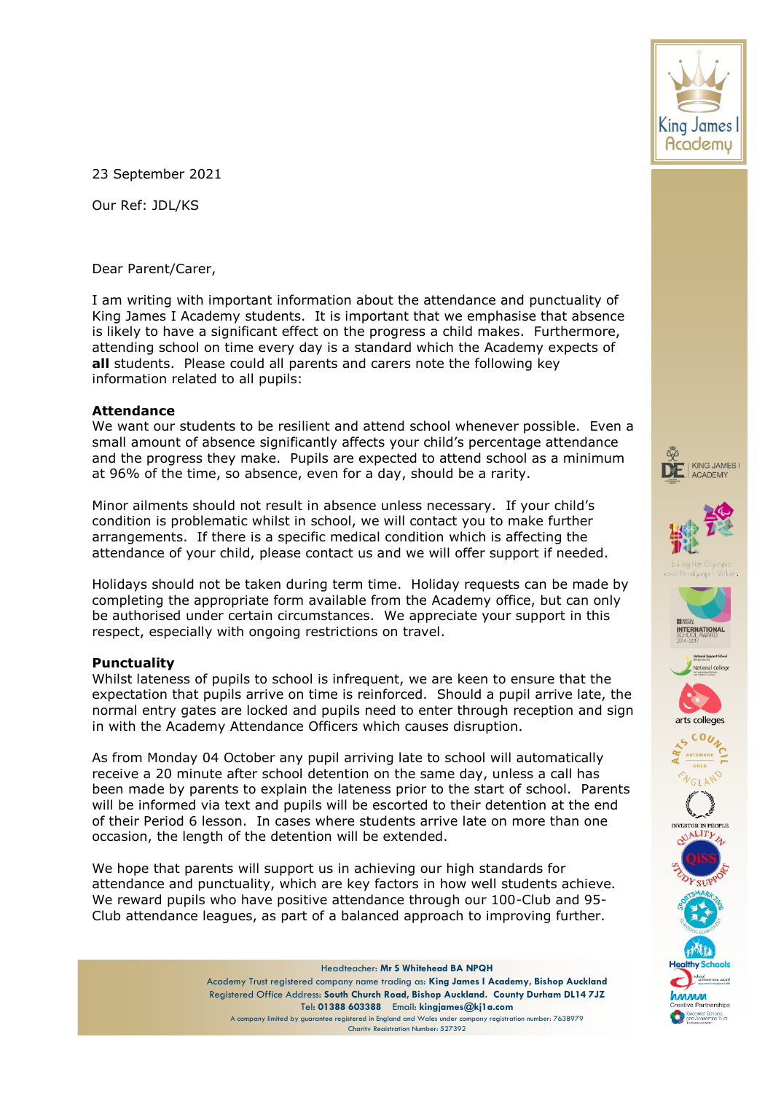23 September 2021

Our Ref: JDL/KS

Dear Parent/Carer,

I am writing with important information about the attendance and punctuality of King James I Academy students. It is important that we emphasise that absence is likely to have a significant effect on the progress a child makes. Furthermore, attending school on time every day is a standard which the Academy expects of **all** students. Please could all parents and carers note the following key information related to all pupils:

## **Attendance**

We want our students to be resilient and attend school whenever possible. Even a small amount of absence significantly affects your child's percentage attendance and the progress they make. Pupils are expected to attend school as a minimum at 96% of the time, so absence, even for a day, should be a rarity.

Minor ailments should not result in absence unless necessary. If your child's condition is problematic whilst in school, we will contact you to make further arrangements. If there is a specific medical condition which is affecting the attendance of your child, please contact us and we will offer support if needed.

Holidays should not be taken during term time. Holiday requests can be made by completing the appropriate form available from the Academy office, but can only be authorised under certain circumstances. We appreciate your support in this respect, especially with ongoing restrictions on travel.

## **Punctuality**

Whilst lateness of pupils to school is infrequent, we are keen to ensure that the expectation that pupils arrive on time is reinforced. Should a pupil arrive late, the normal entry gates are locked and pupils need to enter through reception and sign in with the Academy Attendance Officers which causes disruption.

As from Monday 04 October any pupil arriving late to school will automatically receive a 20 minute after school detention on the same day, unless a call has been made by parents to explain the lateness prior to the start of school. Parents will be informed via text and pupils will be escorted to their detention at the end of their Period 6 lesson. In cases where students arrive late on more than one occasion, the length of the detention will be extended.

We hope that parents will support us in achieving our high standards for attendance and punctuality, which are key factors in how well students achieve. We reward pupils who have positive attendance through our 100-Club and 95- Club attendance leagues, as part of a balanced approach to improving further.

> Headteacher: **Mr S Whitehead BA NPQH** Academy Trust registered company name trading as: **King James I Academy, Bishop Auckland** Registered Office Address: **South Church Road, Bishop Auckland. County Durham DL14 7JZ** Tel: **01388 603388** Email: **kingjames@kj1a.com** A company limited by guarantee registered in England and Wales under company registration number: 7638979 Charity Registration Number: 527392